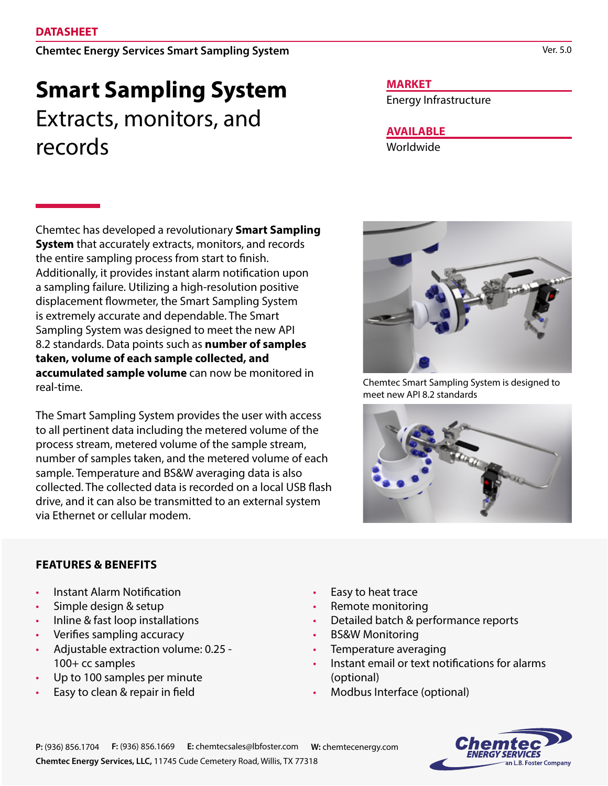Chemtec Energy Services Smart Sampling System

# **Smart Sampling System** Extracts, monitors, and records

Chemtec has developed a revolutionary **Smart Sampling System** that accurately extracts, monitors, and records the entire sampling process from start to finish. Additionally, it provides instant alarm notification upon a sampling failure. Utilizing a high-resolution positive displacement flowmeter, the Smart Sampling System is extremely accurate and dependable. The Smart Sampling System was designed to meet the new API 8.2 standards. Data points such as **number of samples taken, volume of each sample collected, and accumulated sample volume** can now be monitored in real-time.

The Smart Sampling System provides the user with access to all pertinent data including the metered volume of the process stream, metered volume of the sample stream, number of samples taken, and the metered volume of each sample. Temperature and BS&W averaging data is also collected. The collected data is recorded on a local USB flash drive, and it can also be transmitted to an external system via Ethernet or cellular modem.

## **MARKET**

Energy Infrastructure

**AVAILABLE**

Worldwide



Chemtec Smart Sampling System is designed to meet new API 8.2 standards



## **FEATURES & BENEFITS**

- Instant Alarm Notification
- Simple design & setup
- Inline & fast loop installations
- Verifies sampling accuracy
- Adjustable extraction volume: 0.25 100+ cc samples
- Up to 100 samples per minute
- Easy to clean & repair in field
- Easy to heat trace
- Remote monitoring
- Detailed batch & performance reports
- BS&W Monitoring
- Temperature averaging
- Instant email or text notifications for alarms (optional)
- Modbus Interface (optional)